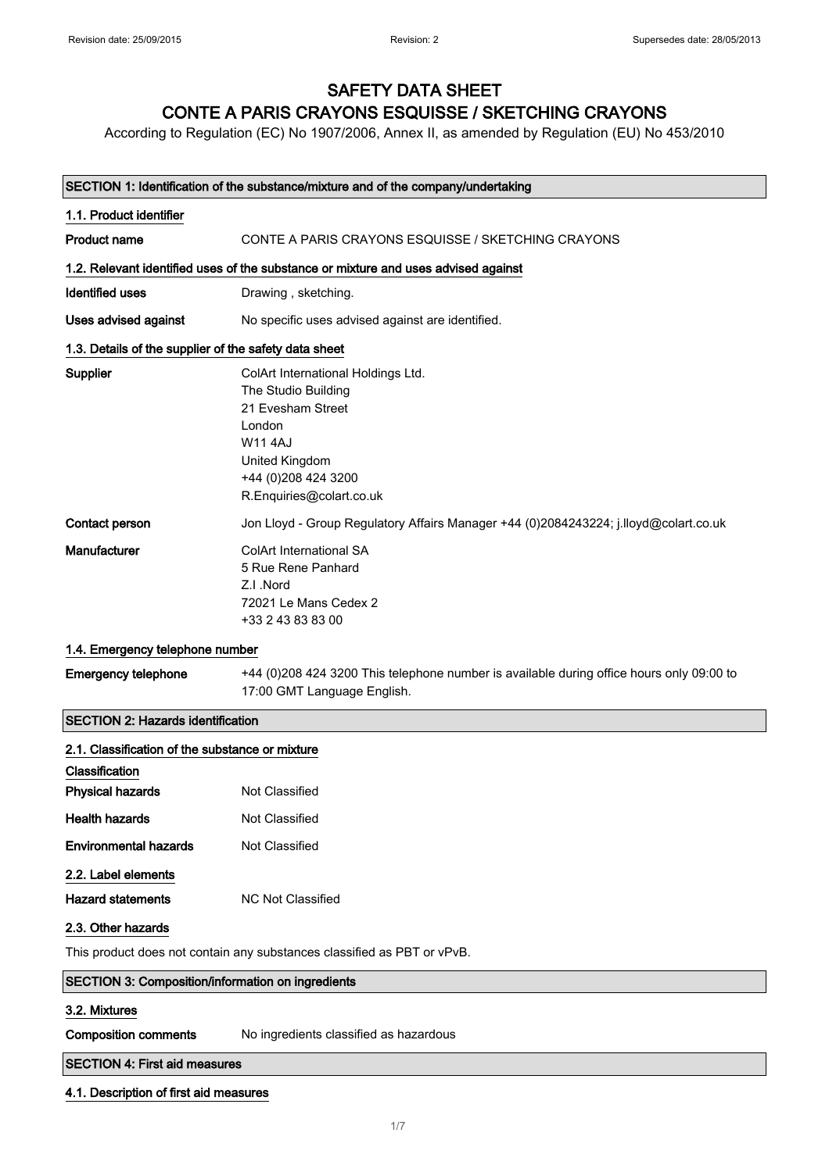## SAFETY DATA SHEET CONTE A PARIS CRAYONS ESQUISSE / SKETCHING CRAYONS

According to Regulation (EC) No 1907/2006, Annex II, as amended by Regulation (EU) No 453/2010

### SECTION 1: Identification of the substance/mixture and of the company/undertaking

| 1.1. Product identifier                               |                                                                                                                         |
|-------------------------------------------------------|-------------------------------------------------------------------------------------------------------------------------|
| <b>Product name</b>                                   | CONTE A PARIS CRAYONS ESQUISSE / SKETCHING CRAYONS                                                                      |
|                                                       | 1.2. Relevant identified uses of the substance or mixture and uses advised against                                      |
| <b>Identified uses</b>                                | Drawing, sketching.                                                                                                     |
| Uses advised against                                  | No specific uses advised against are identified.                                                                        |
| 1.3. Details of the supplier of the safety data sheet |                                                                                                                         |
| Supplier                                              | ColArt International Holdings Ltd.                                                                                      |
|                                                       | The Studio Building                                                                                                     |
|                                                       | 21 Evesham Street                                                                                                       |
|                                                       | London                                                                                                                  |
|                                                       | W11 4AJ                                                                                                                 |
|                                                       | United Kingdom                                                                                                          |
|                                                       | +44 (0) 208 424 3200                                                                                                    |
|                                                       | R.Enquiries@colart.co.uk                                                                                                |
| Contact person                                        | Jon Lloyd - Group Regulatory Affairs Manager +44 (0)2084243224; j.lloyd@colart.co.uk                                    |
| Manufacturer                                          | <b>ColArt International SA</b>                                                                                          |
|                                                       | 5 Rue Rene Panhard                                                                                                      |
|                                                       | Z.I.Nord                                                                                                                |
|                                                       | 72021 Le Mans Cedex 2                                                                                                   |
|                                                       | +33 2 43 83 83 00                                                                                                       |
| 1.4. Emergency telephone number                       |                                                                                                                         |
| <b>Emergency telephone</b>                            | +44 (0)208 424 3200 This telephone number is available during office hours only 09:00 to<br>17:00 GMT Language English. |
| <b>SECTION 2: Hazards identification</b>              |                                                                                                                         |

# 2.1. Classification of the substance or mixture Classification Physical hazards Not Classified Health hazards Not Classified Environmental hazards Not Classified 2.2. Label elements Hazard statements MC Not Classified

#### 2.3. Other hazards

This product does not contain any substances classified as PBT or vPvB.

| SECTION 3: Composition/information on ingredients |  |
|---------------------------------------------------|--|
|                                                   |  |

### 3.2. Mixtures

Composition comments No ingredients classified as hazardous

### SECTION 4: First aid measures

#### 4.1. Description of first aid measures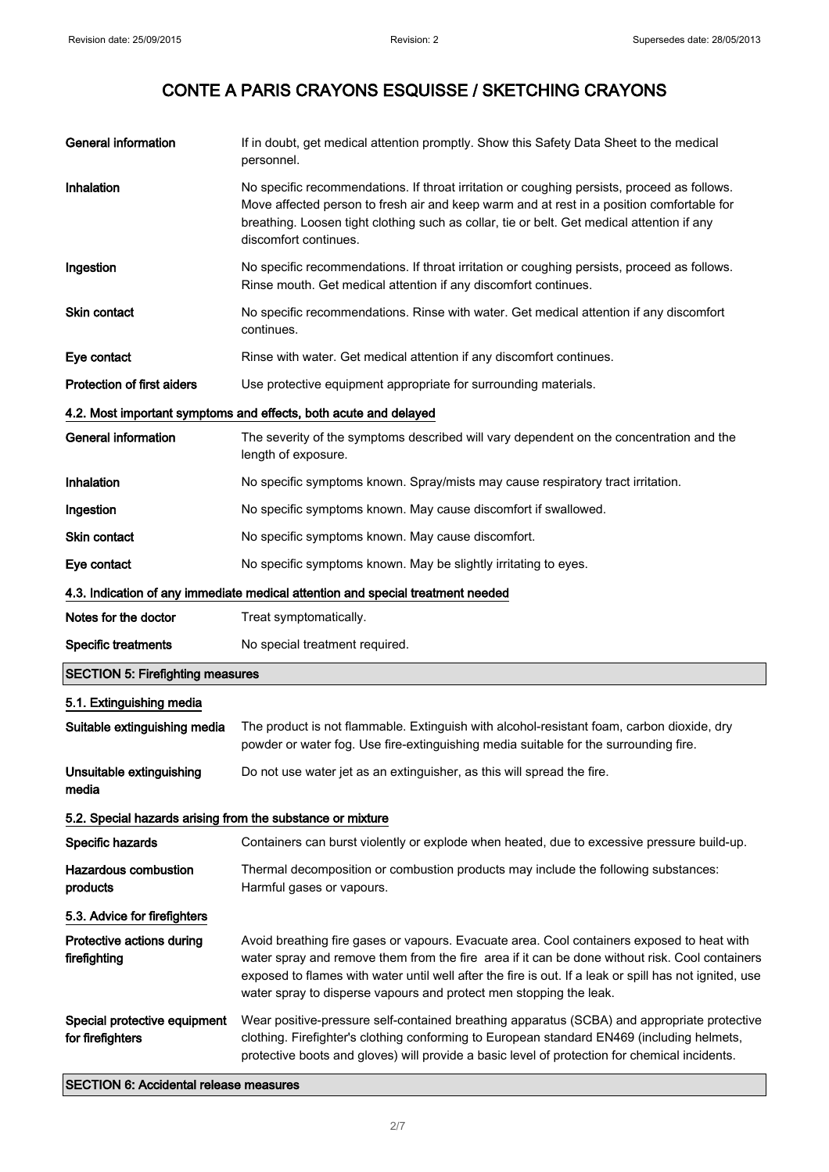| <b>General information</b>                                 | If in doubt, get medical attention promptly. Show this Safety Data Sheet to the medical<br>personnel.                                                                                                                                                                                                                                                                        |
|------------------------------------------------------------|------------------------------------------------------------------------------------------------------------------------------------------------------------------------------------------------------------------------------------------------------------------------------------------------------------------------------------------------------------------------------|
| Inhalation                                                 | No specific recommendations. If throat irritation or coughing persists, proceed as follows.<br>Move affected person to fresh air and keep warm and at rest in a position comfortable for<br>breathing. Loosen tight clothing such as collar, tie or belt. Get medical attention if any<br>discomfort continues.                                                              |
| Ingestion                                                  | No specific recommendations. If throat irritation or coughing persists, proceed as follows.<br>Rinse mouth. Get medical attention if any discomfort continues.                                                                                                                                                                                                               |
| Skin contact                                               | No specific recommendations. Rinse with water. Get medical attention if any discomfort<br>continues.                                                                                                                                                                                                                                                                         |
| Eye contact                                                | Rinse with water. Get medical attention if any discomfort continues.                                                                                                                                                                                                                                                                                                         |
| <b>Protection of first aiders</b>                          | Use protective equipment appropriate for surrounding materials.                                                                                                                                                                                                                                                                                                              |
|                                                            | 4.2. Most important symptoms and effects, both acute and delayed                                                                                                                                                                                                                                                                                                             |
| <b>General information</b>                                 | The severity of the symptoms described will vary dependent on the concentration and the<br>length of exposure.                                                                                                                                                                                                                                                               |
| Inhalation                                                 | No specific symptoms known. Spray/mists may cause respiratory tract irritation.                                                                                                                                                                                                                                                                                              |
| Ingestion                                                  | No specific symptoms known. May cause discomfort if swallowed.                                                                                                                                                                                                                                                                                                               |
| Skin contact                                               | No specific symptoms known. May cause discomfort.                                                                                                                                                                                                                                                                                                                            |
| Eye contact                                                | No specific symptoms known. May be slightly irritating to eyes.                                                                                                                                                                                                                                                                                                              |
|                                                            | 4.3. Indication of any immediate medical attention and special treatment needed                                                                                                                                                                                                                                                                                              |
| Notes for the doctor                                       | Treat symptomatically.                                                                                                                                                                                                                                                                                                                                                       |
| <b>Specific treatments</b>                                 | No special treatment required.                                                                                                                                                                                                                                                                                                                                               |
| <b>SECTION 5: Firefighting measures</b>                    |                                                                                                                                                                                                                                                                                                                                                                              |
| 5.1. Extinguishing media                                   |                                                                                                                                                                                                                                                                                                                                                                              |
| Suitable extinguishing media                               | The product is not flammable. Extinguish with alcohol-resistant foam, carbon dioxide, dry<br>powder or water fog. Use fire-extinguishing media suitable for the surrounding fire.                                                                                                                                                                                            |
| Unsuitable extinguishing<br>media                          | Do not use water jet as an extinguisher, as this will spread the fire.                                                                                                                                                                                                                                                                                                       |
| 5.2. Special hazards arising from the substance or mixture |                                                                                                                                                                                                                                                                                                                                                                              |
| Specific hazards                                           | Containers can burst violently or explode when heated, due to excessive pressure build-up.                                                                                                                                                                                                                                                                                   |
| <b>Hazardous combustion</b><br>products                    | Thermal decomposition or combustion products may include the following substances:<br>Harmful gases or vapours.                                                                                                                                                                                                                                                              |
| 5.3. Advice for firefighters                               |                                                                                                                                                                                                                                                                                                                                                                              |
| Protective actions during                                  |                                                                                                                                                                                                                                                                                                                                                                              |
| firefighting                                               | Avoid breathing fire gases or vapours. Evacuate area. Cool containers exposed to heat with<br>water spray and remove them from the fire area if it can be done without risk. Cool containers<br>exposed to flames with water until well after the fire is out. If a leak or spill has not ignited, use<br>water spray to disperse vapours and protect men stopping the leak. |

SECTION 6: Accidental release measures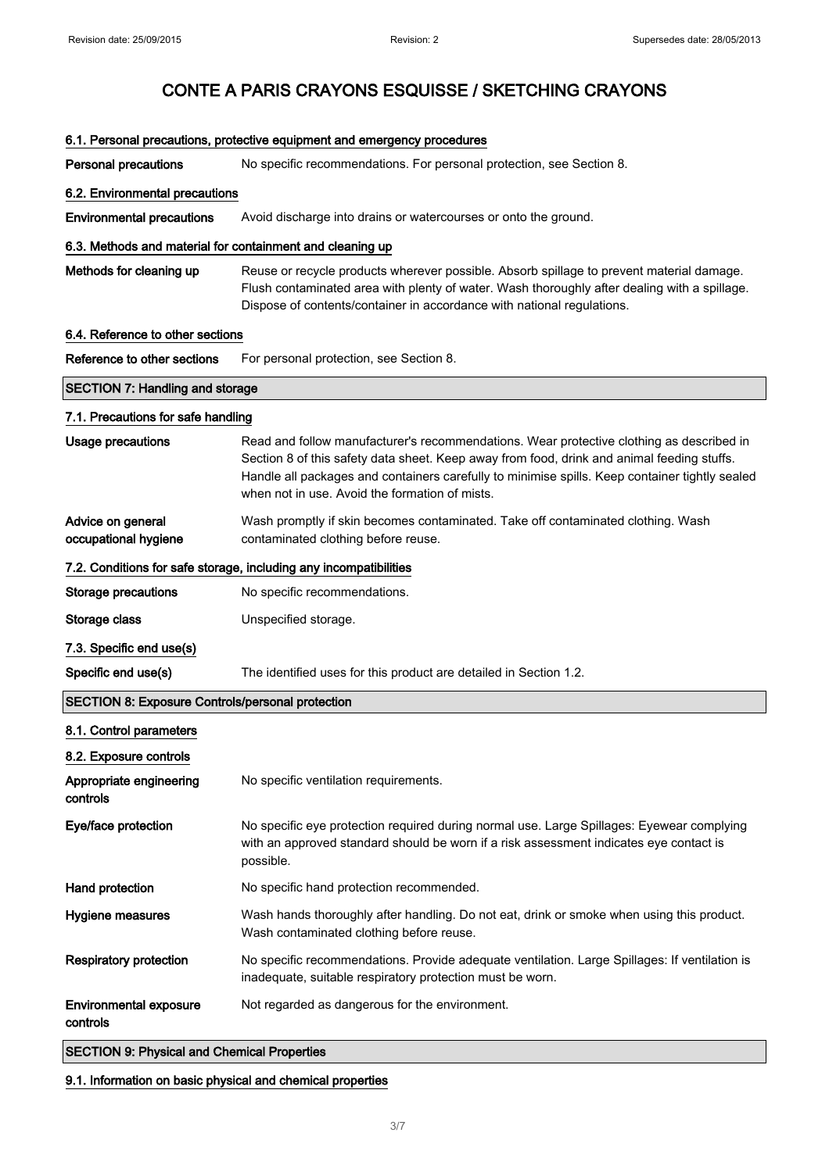| 6.1. Personal precautions, protective equipment and emergency procedures |                                                                                                                                                                                                                                                                                                                                            |  |
|--------------------------------------------------------------------------|--------------------------------------------------------------------------------------------------------------------------------------------------------------------------------------------------------------------------------------------------------------------------------------------------------------------------------------------|--|
| <b>Personal precautions</b>                                              | No specific recommendations. For personal protection, see Section 8.                                                                                                                                                                                                                                                                       |  |
| 6.2. Environmental precautions                                           |                                                                                                                                                                                                                                                                                                                                            |  |
| <b>Environmental precautions</b>                                         | Avoid discharge into drains or watercourses or onto the ground.                                                                                                                                                                                                                                                                            |  |
| 6.3. Methods and material for containment and cleaning up                |                                                                                                                                                                                                                                                                                                                                            |  |
| Methods for cleaning up                                                  | Reuse or recycle products wherever possible. Absorb spillage to prevent material damage.<br>Flush contaminated area with plenty of water. Wash thoroughly after dealing with a spillage.<br>Dispose of contents/container in accordance with national regulations.                                                                         |  |
| 6.4. Reference to other sections                                         |                                                                                                                                                                                                                                                                                                                                            |  |
| Reference to other sections                                              | For personal protection, see Section 8.                                                                                                                                                                                                                                                                                                    |  |
| <b>SECTION 7: Handling and storage</b>                                   |                                                                                                                                                                                                                                                                                                                                            |  |
| 7.1. Precautions for safe handling                                       |                                                                                                                                                                                                                                                                                                                                            |  |
| <b>Usage precautions</b>                                                 | Read and follow manufacturer's recommendations. Wear protective clothing as described in<br>Section 8 of this safety data sheet. Keep away from food, drink and animal feeding stuffs.<br>Handle all packages and containers carefully to minimise spills. Keep container tightly sealed<br>when not in use. Avoid the formation of mists. |  |
| Advice on general<br>occupational hygiene                                | Wash promptly if skin becomes contaminated. Take off contaminated clothing. Wash<br>contaminated clothing before reuse.                                                                                                                                                                                                                    |  |
|                                                                          | 7.2. Conditions for safe storage, including any incompatibilities                                                                                                                                                                                                                                                                          |  |
| <b>Storage precautions</b>                                               | No specific recommendations.                                                                                                                                                                                                                                                                                                               |  |
| Storage class                                                            | Unspecified storage.                                                                                                                                                                                                                                                                                                                       |  |
| 7.3. Specific end use(s)                                                 |                                                                                                                                                                                                                                                                                                                                            |  |
| Specific end use(s)                                                      | The identified uses for this product are detailed in Section 1.2.                                                                                                                                                                                                                                                                          |  |
| <b>SECTION 8: Exposure Controls/personal protection</b>                  |                                                                                                                                                                                                                                                                                                                                            |  |
| 8.1. Control parameters                                                  |                                                                                                                                                                                                                                                                                                                                            |  |
| 8.2. Exposure controls                                                   |                                                                                                                                                                                                                                                                                                                                            |  |
| Appropriate engineering<br>controls                                      | No specific ventilation requirements.                                                                                                                                                                                                                                                                                                      |  |
| Eye/face protection                                                      | No specific eye protection required during normal use. Large Spillages: Eyewear complying<br>with an approved standard should be worn if a risk assessment indicates eye contact is<br>possible.                                                                                                                                           |  |
| Hand protection                                                          | No specific hand protection recommended.                                                                                                                                                                                                                                                                                                   |  |
| Hygiene measures                                                         | Wash hands thoroughly after handling. Do not eat, drink or smoke when using this product.<br>Wash contaminated clothing before reuse.                                                                                                                                                                                                      |  |
| <b>Respiratory protection</b>                                            | No specific recommendations. Provide adequate ventilation. Large Spillages: If ventilation is<br>inadequate, suitable respiratory protection must be worn.                                                                                                                                                                                 |  |
| <b>Environmental exposure</b><br>controls                                | Not regarded as dangerous for the environment.                                                                                                                                                                                                                                                                                             |  |
| <b>SECTION 9: Physical and Chemical Properties</b>                       |                                                                                                                                                                                                                                                                                                                                            |  |

9.1. Information on basic physical and chemical properties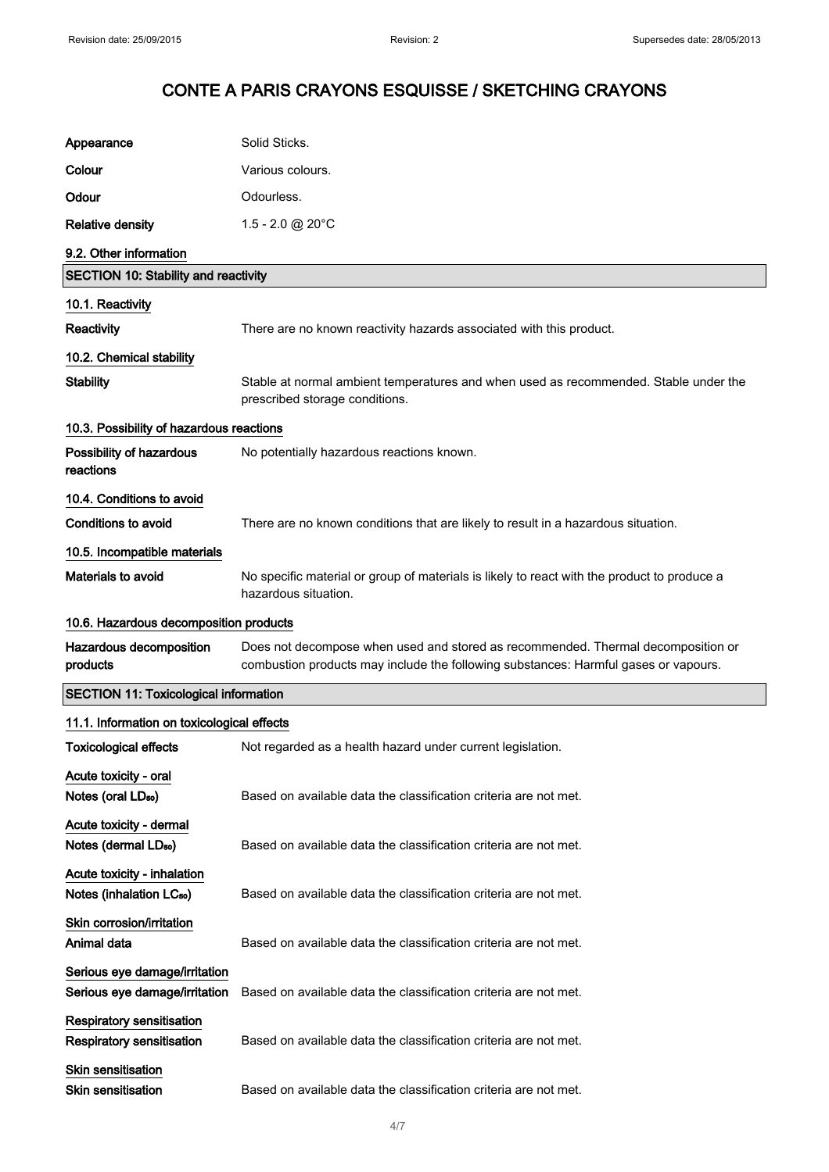| Appearance                                                           | Solid Sticks.                                                                                                                                                           |
|----------------------------------------------------------------------|-------------------------------------------------------------------------------------------------------------------------------------------------------------------------|
| Colour                                                               | Various colours.                                                                                                                                                        |
| Odour                                                                | Odourless.                                                                                                                                                              |
| <b>Relative density</b>                                              | $1.5 - 2.0 \text{ @ } 20^{\circ}$ C                                                                                                                                     |
| 9.2. Other information                                               |                                                                                                                                                                         |
| <b>SECTION 10: Stability and reactivity</b>                          |                                                                                                                                                                         |
| 10.1. Reactivity                                                     |                                                                                                                                                                         |
| Reactivity                                                           | There are no known reactivity hazards associated with this product.                                                                                                     |
| 10.2. Chemical stability                                             |                                                                                                                                                                         |
| <b>Stability</b>                                                     | Stable at normal ambient temperatures and when used as recommended. Stable under the<br>prescribed storage conditions.                                                  |
| 10.3. Possibility of hazardous reactions                             |                                                                                                                                                                         |
| Possibility of hazardous<br>reactions                                | No potentially hazardous reactions known.                                                                                                                               |
| 10.4. Conditions to avoid                                            |                                                                                                                                                                         |
| <b>Conditions to avoid</b>                                           | There are no known conditions that are likely to result in a hazardous situation.                                                                                       |
| 10.5. Incompatible materials                                         |                                                                                                                                                                         |
| <b>Materials to avoid</b>                                            | No specific material or group of materials is likely to react with the product to produce a<br>hazardous situation.                                                     |
| 10.6. Hazardous decomposition products                               |                                                                                                                                                                         |
| Hazardous decomposition<br>products                                  | Does not decompose when used and stored as recommended. Thermal decomposition or<br>combustion products may include the following substances: Harmful gases or vapours. |
| <b>SECTION 11: Toxicological information</b>                         |                                                                                                                                                                         |
| 11.1. Information on toxicological effects                           |                                                                                                                                                                         |
| <b>Toxicological effects</b>                                         | Not regarded as a health hazard under current legislation.                                                                                                              |
| Acute toxicity - oral<br>Notes (oral LD <sub>50</sub> )              | Based on available data the classification criteria are not met.                                                                                                        |
| Acute toxicity - dermal<br>Notes (dermal LD <sub>50</sub> )          | Based on available data the classification criteria are not met.                                                                                                        |
| Acute toxicity - inhalation<br>Notes (inhalation LC <sub>50</sub> )  | Based on available data the classification criteria are not met.                                                                                                        |
| Skin corrosion/irritation<br>Animal data                             | Based on available data the classification criteria are not met.                                                                                                        |
| Serious eye damage/irritation<br>Serious eye damage/irritation       | Based on available data the classification criteria are not met.                                                                                                        |
| <b>Respiratory sensitisation</b><br><b>Respiratory sensitisation</b> | Based on available data the classification criteria are not met.                                                                                                        |
| <b>Skin sensitisation</b><br>Skin sensitisation                      | Based on available data the classification criteria are not met.                                                                                                        |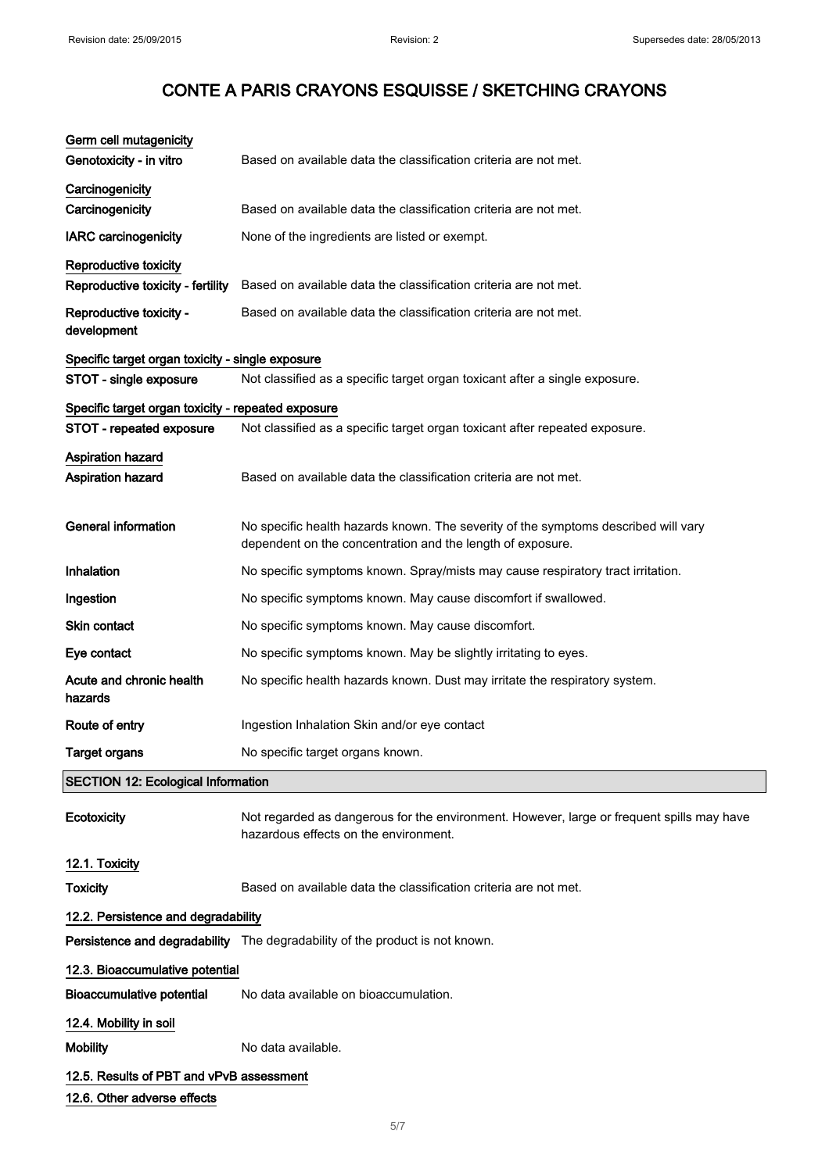| Germ cell mutagenicity<br>Genotoxicity - in vitro                              | Based on available data the classification criteria are not met.                                                                                 |
|--------------------------------------------------------------------------------|--------------------------------------------------------------------------------------------------------------------------------------------------|
| Carcinogenicity<br>Carcinogenicity                                             | Based on available data the classification criteria are not met.                                                                                 |
| <b>IARC</b> carcinogenicity                                                    | None of the ingredients are listed or exempt.                                                                                                    |
| Reproductive toxicity<br>Reproductive toxicity - fertility                     | Based on available data the classification criteria are not met.                                                                                 |
| Reproductive toxicity -<br>development                                         | Based on available data the classification criteria are not met.                                                                                 |
| Specific target organ toxicity - single exposure                               |                                                                                                                                                  |
| STOT - single exposure                                                         | Not classified as a specific target organ toxicant after a single exposure.                                                                      |
| Specific target organ toxicity - repeated exposure<br>STOT - repeated exposure | Not classified as a specific target organ toxicant after repeated exposure.                                                                      |
| Aspiration hazard<br>Aspiration hazard                                         | Based on available data the classification criteria are not met.                                                                                 |
| <b>General information</b>                                                     | No specific health hazards known. The severity of the symptoms described will vary<br>dependent on the concentration and the length of exposure. |
| Inhalation                                                                     | No specific symptoms known. Spray/mists may cause respiratory tract irritation.                                                                  |
| Ingestion                                                                      | No specific symptoms known. May cause discomfort if swallowed.                                                                                   |
| <b>Skin contact</b>                                                            | No specific symptoms known. May cause discomfort.                                                                                                |
| Eye contact                                                                    | No specific symptoms known. May be slightly irritating to eyes.                                                                                  |
| Acute and chronic health<br>hazards                                            | No specific health hazards known. Dust may irritate the respiratory system.                                                                      |
| Route of entry                                                                 | Ingestion Inhalation Skin and/or eye contact                                                                                                     |
| <b>Target organs</b>                                                           | No specific target organs known.                                                                                                                 |
| <b>SECTION 12: Ecological Information</b>                                      |                                                                                                                                                  |
| Ecotoxicity                                                                    | Not regarded as dangerous for the environment. However, large or frequent spills may have<br>hazardous effects on the environment.               |
| 12.1. Toxicity                                                                 |                                                                                                                                                  |
| <b>Toxicity</b>                                                                | Based on available data the classification criteria are not met.                                                                                 |
| 12.2. Persistence and degradability                                            |                                                                                                                                                  |
|                                                                                | Persistence and degradability The degradability of the product is not known.                                                                     |
| 12.3. Bioaccumulative potential                                                |                                                                                                                                                  |
| <b>Bioaccumulative potential</b>                                               | No data available on bioaccumulation.                                                                                                            |
| 12.4. Mobility in soil                                                         |                                                                                                                                                  |
| <b>Mobility</b>                                                                | No data available.                                                                                                                               |
| 12.5. Results of PBT and vPvB assessment                                       |                                                                                                                                                  |
| 12.6. Other adverse effects                                                    |                                                                                                                                                  |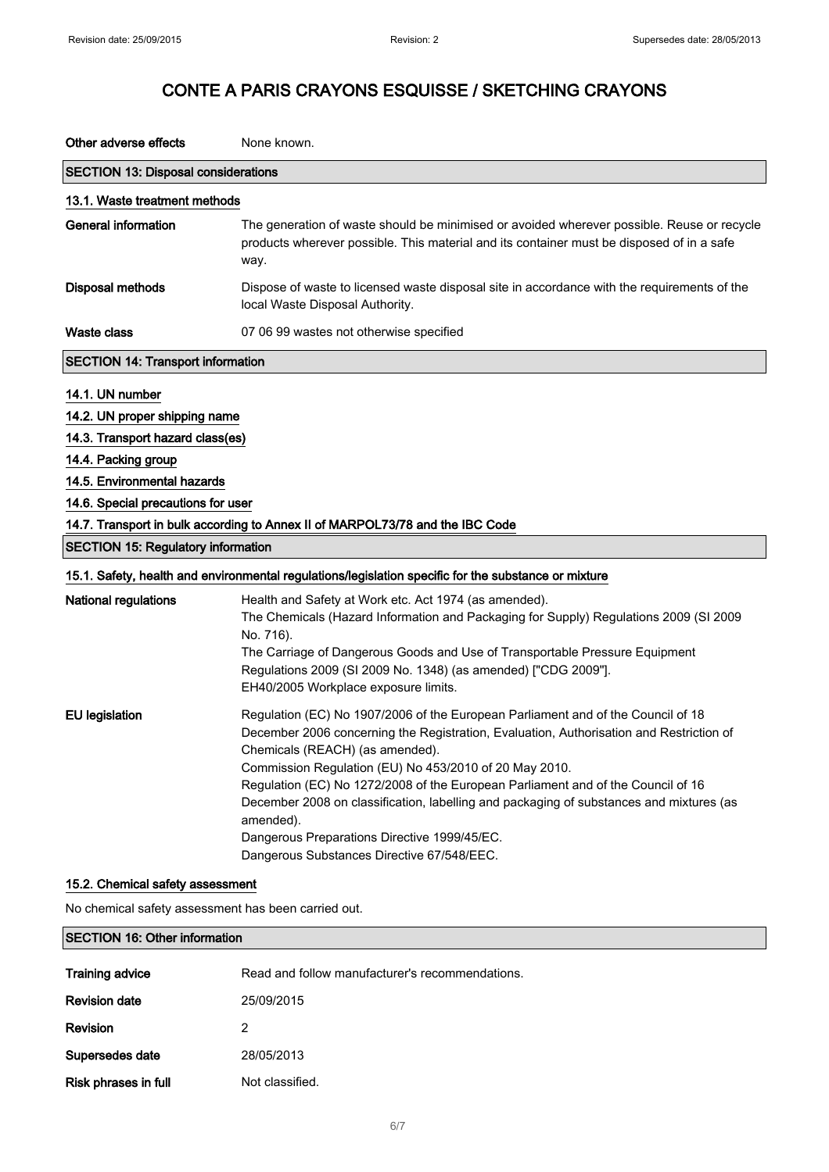| Other adverse effects                                                                                                                                                                                                                                        | None known.                                                                                                                                                                                                                                                                                                                                                                                                                                                                                                                                                        |
|--------------------------------------------------------------------------------------------------------------------------------------------------------------------------------------------------------------------------------------------------------------|--------------------------------------------------------------------------------------------------------------------------------------------------------------------------------------------------------------------------------------------------------------------------------------------------------------------------------------------------------------------------------------------------------------------------------------------------------------------------------------------------------------------------------------------------------------------|
| <b>SECTION 13: Disposal considerations</b>                                                                                                                                                                                                                   |                                                                                                                                                                                                                                                                                                                                                                                                                                                                                                                                                                    |
| 13.1. Waste treatment methods                                                                                                                                                                                                                                |                                                                                                                                                                                                                                                                                                                                                                                                                                                                                                                                                                    |
| <b>General information</b>                                                                                                                                                                                                                                   | The generation of waste should be minimised or avoided wherever possible. Reuse or recycle<br>products wherever possible. This material and its container must be disposed of in a safe<br>way.                                                                                                                                                                                                                                                                                                                                                                    |
| <b>Disposal methods</b>                                                                                                                                                                                                                                      | Dispose of waste to licensed waste disposal site in accordance with the requirements of the<br>local Waste Disposal Authority.                                                                                                                                                                                                                                                                                                                                                                                                                                     |
| <b>Waste class</b>                                                                                                                                                                                                                                           | 07 06 99 wastes not otherwise specified                                                                                                                                                                                                                                                                                                                                                                                                                                                                                                                            |
| <b>SECTION 14: Transport information</b>                                                                                                                                                                                                                     |                                                                                                                                                                                                                                                                                                                                                                                                                                                                                                                                                                    |
| 14.1. UN number<br>14.2. UN proper shipping name<br>14.3. Transport hazard class(es)<br>14.4. Packing group<br>14.5. Environmental hazards<br>14.6. Special precautions for user<br><b>SECTION 15: Regulatory information</b><br><b>National regulations</b> | 14.7. Transport in bulk according to Annex II of MARPOL73/78 and the IBC Code<br>15.1. Safety, health and environmental regulations/legislation specific for the substance or mixture<br>Health and Safety at Work etc. Act 1974 (as amended).<br>The Chemicals (Hazard Information and Packaging for Supply) Regulations 2009 (SI 2009<br>No. 716).<br>The Carriage of Dangerous Goods and Use of Transportable Pressure Equipment<br>Regulations 2009 (SI 2009 No. 1348) (as amended) ["CDG 2009"].<br>EH40/2005 Workplace exposure limits.                      |
| <b>EU</b> legislation                                                                                                                                                                                                                                        | Regulation (EC) No 1907/2006 of the European Parliament and of the Council of 18<br>December 2006 concerning the Registration, Evaluation, Authorisation and Restriction of<br>Chemicals (REACH) (as amended).<br>Commission Regulation (EU) No 453/2010 of 20 May 2010.<br>Regulation (EC) No 1272/2008 of the European Parliament and of the Council of 16<br>December 2008 on classification, labelling and packaging of substances and mixtures (as<br>amended).<br>Dangerous Preparations Directive 1999/45/EC.<br>Dangerous Substances Directive 67/548/EEC. |
| 15.2. Chemical safety assessment                                                                                                                                                                                                                             |                                                                                                                                                                                                                                                                                                                                                                                                                                                                                                                                                                    |

No chemical safety assessment has been carried out.

### SECTION 16: Other information

| <b>Training advice</b> | Read and follow manufacturer's recommendations. |
|------------------------|-------------------------------------------------|
| <b>Revision date</b>   | 25/09/2015                                      |
| Revision               |                                                 |
| Supersedes date        | 28/05/2013                                      |
| Risk phrases in full   | Not classified.                                 |